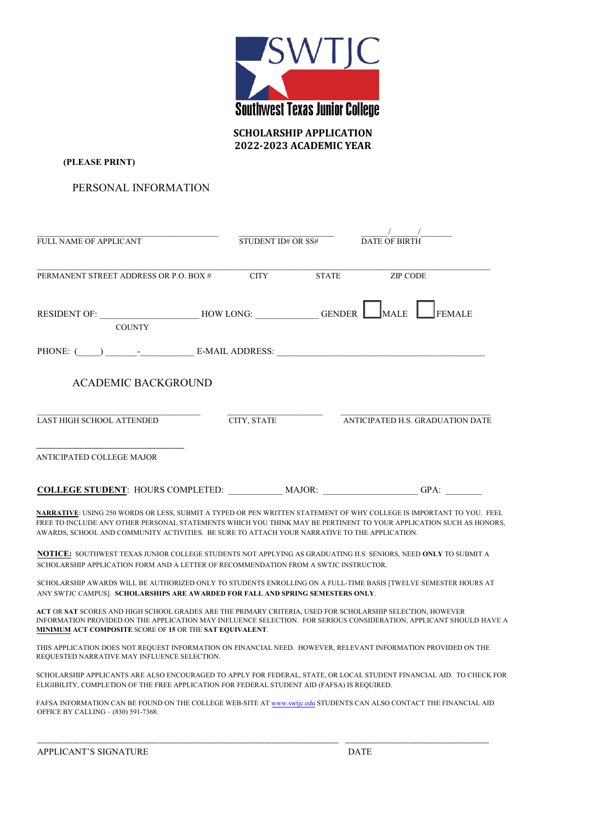

**SCHOLARSHIP APPLICATION 2022-2023 ACADEMIC YEAR**

**(PLEASE PRINT)** 

PERSONAL INFORMATION

| FULL NAME OF APPLICANT                                                                             | $\overline{\text{STUDENT ID# OR SS#}}$ DATE OF BIRTH |              | $\sqrt{2}$                       |
|----------------------------------------------------------------------------------------------------|------------------------------------------------------|--------------|----------------------------------|
| PERMANENT STREET ADDRESS OR P.O. BOX #                                                             | <b>CITY</b>                                          | <b>STATE</b> | <b>ZIP CODE</b>                  |
| RESIDENT OF: _________________________HOW LONG: ______________GENDER ________MALE<br><b>COUNTY</b> |                                                      |              | <b>FEMALE</b>                    |
|                                                                                                    |                                                      |              |                                  |
| <b>ACADEMIC BACKGROUND</b>                                                                         |                                                      |              |                                  |
| <b>LAST HIGH SCHOOL ATTENDED</b>                                                                   | CITY, STATE                                          |              | ANTICIPATED H.S. GRADUATION DATE |
| ANTICIPATED COLLEGE MAJOR                                                                          |                                                      |              |                                  |
| COLLEGE STUDENT: HOURS COMPLETED: MAJOR:                                                           |                                                      |              | $GPA$ :                          |

**NARRATIVE**: USING 250 WORDS OR LESS, SUBMIT A TYPED OR PEN WRITTEN STATEMENT OF WHY COLLEGE IS IMPORTANT TO YOU. FEEL FREE TO INCLUDE ANY OTHER PERSONAL STATEMENTS WHICH YOU THINK MAY BE PERTINENT TO YOUR APPLICATION SUCH AS HONORS, AWARDS, SCHOOL AND COMMUNITY ACTIVITIES. BE SURE TO ATTACH YOUR NARRATIVE TO THE APPLICATION.

**NOTICE:** SOUTHWEST TEXAS JUNIOR COLLEGE STUDENTS NOT APPLYING AS GRADUATING H.S. SENIORS, NEED **ONLY** TO SUBMIT A SCHOLARSHIP APPLICATION FORM AND A LETTER OF RECOMMENDATION FROM A SWTJC INSTRUCTOR.

SCHOLARSHIP AWARDS WILL BE AUTHORIZED ONLY TO STUDENTS ENROLLING ON A FULL-TIME BASIS [TWELVE SEMESTER HOURS AT ANY SWTJC CAMPUS]. **SCHOLARSHIPS ARE AWARDED FOR FALL AND SPRING SEMESTERS ONLY**.

**ACT** OR **SAT** SCORES AND HIGH SCHOOL GRADES ARE THE PRIMARY CRITERIA, USED FOR SCHOLARSHIP SELECTION, HOWEVER INFORMATION PROVIDED ON THE APPLICATION MAY INFLUENCE SELECTION. FOR SERIOUS CONSIDERATION, APPLICANT SHOULD HAVE A **MINIMUM ACT COMPOSITE** SCORE OF **15** OR THE **SAT EQUIVALENT**.

THIS APPLICATION DOES NOT REQUEST INFORMATION ON FINANCIAL NEED. HOWEVER, RELEVANT INFORMATION PROVIDED ON THE REQUESTED NARRATIVE MAY INFLUENCE SELECTION.

SCHOLARSHIP APPLICANTS ARE ALSO ENCOURAGED TO APPLY FOR FEDERAL, STATE, OR LOCAL STUDENT FINANCIAL AID. TO CHECK FOR ELIGIBILITY, COMPLETION OF THE FREE APPLICATION FOR FEDERAL STUDENT AID (FAFSA) IS REQUIRED.

FAFSA INFORMATION CAN BE FOUND ON THE COLLEGE WEB-SITE AT www.swtjc.edu STUDENTS CAN ALSO CONTACT THE FINANCIAL AID OFFICE BY CALLING – (830) 591-7368.

\_\_\_\_\_\_\_\_\_\_\_\_\_\_\_\_\_\_\_\_\_\_\_\_\_\_\_\_\_\_\_\_\_\_\_\_\_\_\_\_\_\_\_\_\_\_\_\_\_\_\_\_\_\_\_\_\_\_\_\_\_\_\_\_\_\_\_\_\_\_\_\_\_\_\_\_\_\_\_\_\_\_\_\_\_\_ \_\_\_\_\_\_\_\_\_\_\_\_\_\_\_\_\_\_\_\_\_\_\_\_\_\_\_\_\_\_\_\_\_\_\_\_\_\_\_\_\_